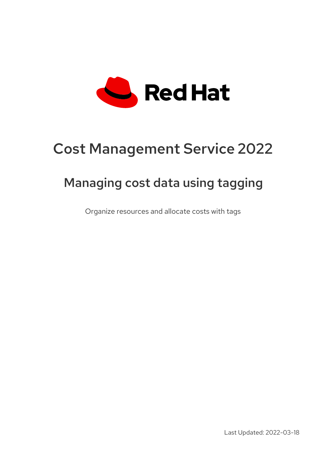

# Cost Management Service 2022

# Managing cost data using tagging

Organize resources and allocate costs with tags

Last Updated: 2022-03-18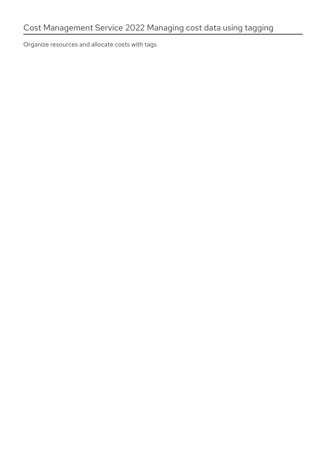Organize resources and allocate costs with tags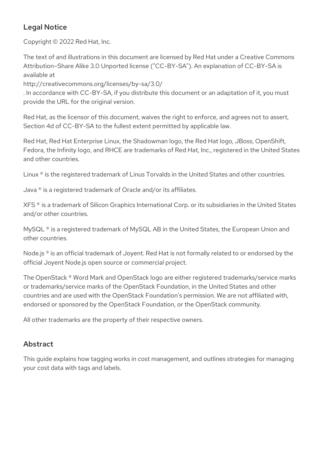### Legal Notice

Copyright © 2022 Red Hat, Inc.

The text of and illustrations in this document are licensed by Red Hat under a Creative Commons Attribution–Share Alike 3.0 Unported license ("CC-BY-SA"). An explanation of CC-BY-SA is available at

http://creativecommons.org/licenses/by-sa/3.0/

. In accordance with CC-BY-SA, if you distribute this document or an adaptation of it, you must provide the URL for the original version.

Red Hat, as the licensor of this document, waives the right to enforce, and agrees not to assert, Section 4d of CC-BY-SA to the fullest extent permitted by applicable law.

Red Hat, Red Hat Enterprise Linux, the Shadowman logo, the Red Hat logo, JBoss, OpenShift, Fedora, the Infinity logo, and RHCE are trademarks of Red Hat, Inc., registered in the United States and other countries.

Linux ® is the registered trademark of Linus Torvalds in the United States and other countries.

Java ® is a registered trademark of Oracle and/or its affiliates.

XFS ® is a trademark of Silicon Graphics International Corp. or its subsidiaries in the United States and/or other countries.

MySQL<sup>®</sup> is a registered trademark of MySQL AB in the United States, the European Union and other countries.

Node.js ® is an official trademark of Joyent. Red Hat is not formally related to or endorsed by the official Joyent Node.js open source or commercial project.

The OpenStack ® Word Mark and OpenStack logo are either registered trademarks/service marks or trademarks/service marks of the OpenStack Foundation, in the United States and other countries and are used with the OpenStack Foundation's permission. We are not affiliated with, endorsed or sponsored by the OpenStack Foundation, or the OpenStack community.

All other trademarks are the property of their respective owners.

### Abstract

This guide explains how tagging works in cost management, and outlines strategies for managing your cost data with tags and labels.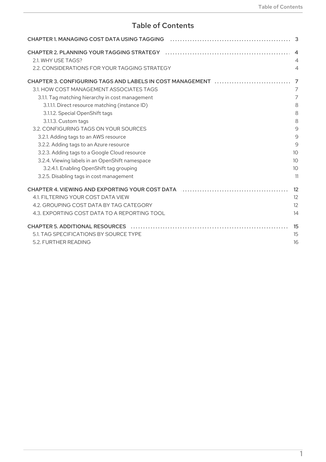# Table of Contents

| CHAPTER 1. MANAGING COST DATA USING TAGGING (and according term in the control of the state of the state of th |
|----------------------------------------------------------------------------------------------------------------|
|                                                                                                                |
|                                                                                                                |
|                                                                                                                |
|                                                                                                                |
|                                                                                                                |
|                                                                                                                |
|                                                                                                                |
|                                                                                                                |
|                                                                                                                |
|                                                                                                                |
|                                                                                                                |
|                                                                                                                |
|                                                                                                                |
|                                                                                                                |
|                                                                                                                |
|                                                                                                                |
|                                                                                                                |
|                                                                                                                |
|                                                                                                                |
|                                                                                                                |
|                                                                                                                |
|                                                                                                                |
|                                                                                                                |
|                                                                                                                |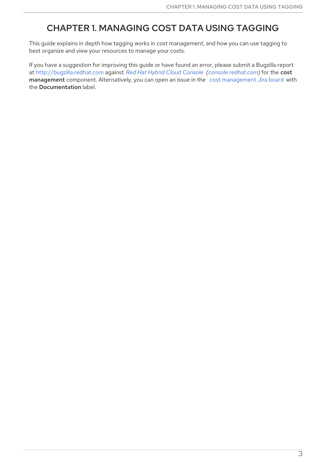# <span id="page-6-0"></span>CHAPTER 1. MANAGING COST DATA USING TAGGING

This guide explains in depth how tagging works in cost management, and how you can use tagging to best organize and view your resources to manage your costs.

If you have a suggestion for improving this guide or have found an error, please submit a Bugzilla report at [http://bugzilla.redhat.com](https://bugzilla.redhat.com/enter_bug.cgi?product=Red Hat Hybrid Cloud Console %28console.redhat.com%29) against *Red Hat Hybrid Cloud [Console](https://console.redhat.com) [\(console.redhat.com\)](https://console.redhat.com)* for the cost [management](https://issues.redhat.com/projects/COST/) component. Alternatively, you can open an issue in the cost management Jira board with the Documentation label.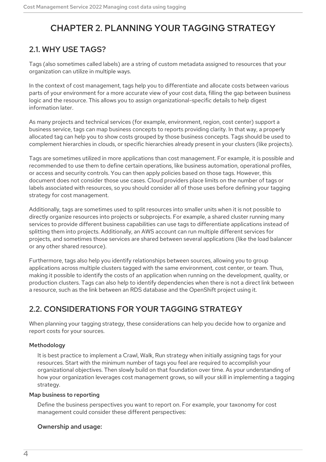# <span id="page-7-0"></span>CHAPTER 2. PLANNING YOUR TAGGING STRATEGY

## <span id="page-7-1"></span>2.1. WHY USE TAGS?

Tags (also sometimes called labels) are a string of custom metadata assigned to resources that your organization can utilize in multiple ways.

In the context of cost management, tags help you to differentiate and allocate costs between various parts of your environment for a more accurate view of your cost data, filling the gap between business logic and the resource. This allows you to assign organizational-specific details to help digest information later.

As many projects and technical services (for example, environment, region, cost center) support a business service, tags can map business concepts to reports providing clarity. In that way, a properly allocated tag can help you to show costs grouped by those business concepts. Tags should be used to complement hierarchies in clouds, or specific hierarchies already present in your clusters (like projects).

Tags are sometimes utilized in more applications than cost management. For example, it is possible and recommended to use them to define certain operations, like business automation, operational profiles, or access and security controls. You can then apply policies based on those tags. However, this document does not consider those use cases. Cloud providers place limits on the number of tags or labels associated with resources, so you should consider all of those uses before defining your tagging strategy for cost management.

Additionally, tags are sometimes used to split resources into smaller units when it is not possible to directly organize resources into projects or subprojects. For example, a shared cluster running many services to provide different business capabilities can use tags to differentiate applications instead of splitting them into projects. Additionally, an AWS account can run multiple different services for projects, and sometimes those services are shared between several applications (like the load balancer or any other shared resource).

Furthermore, tags also help you identify relationships between sources, allowing you to group applications across multiple clusters tagged with the same environment, cost center, or team. Thus, making it possible to identify the costs of an application when running on the development, quality, or production clusters. Tags can also help to identify dependencies when there is not a direct link between a resource, such as the link between an RDS database and the OpenShift project using it.

# <span id="page-7-2"></span>2.2. CONSIDERATIONS FOR YOUR TAGGING STRATEGY

When planning your tagging strategy, these considerations can help you decide how to organize and report costs for your sources.

#### Methodology

It is best practice to implement a Crawl, Walk, Run strategy when initially assigning tags for your resources. Start with the minimum number of tags you feel are required to accomplish your organizational objectives. Then slowly build on that foundation over time. As your understanding of how your organization leverages cost management grows, so will your skill in implementing a tagging strategy.

#### Map business to reporting

Define the business perspectives you want to report on. For example, your taxonomy for cost management could consider these different perspectives:

#### Ownership and usage: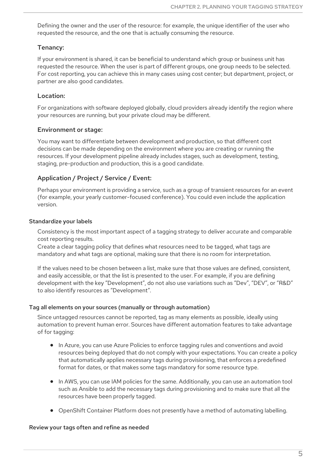<span id="page-8-0"></span>Defining the owner and the user of the resource: for example, the unique identifier of the user who requested the resource, and the one that is actually consuming the resource.

#### Tenancy:

If your environment is shared, it can be beneficial to understand which group or business unit has requested the resource. When the user is part of different groups, one group needs to be selected. For cost reporting, you can achieve this in many cases using cost center; but department, project, or partner are also good candidates.

#### Location:

For organizations with software deployed globally, cloud providers already identify the region where your resources are running, but your private cloud may be different.

#### Environment or stage:

You may want to differentiate between development and production, so that different cost decisions can be made depending on the environment where you are creating or running the resources. If your development pipeline already includes stages, such as development, testing, staging, pre-production and production, this is a good candidate.

#### Application / Project / Service / Event:

Perhaps your environment is providing a service, such as a group of transient resources for an event (for example, your yearly customer-focused conference). You could even include the application version.

#### Standardize your labels

Consistency is the most important aspect of a tagging strategy to deliver accurate and comparable cost reporting results.

Create a clear tagging policy that defines what resources need to be tagged, what tags are mandatory and what tags are optional, making sure that there is no room for interpretation.

If the values need to be chosen between a list, make sure that those values are defined, consistent, and easily accessible, or that the list is presented to the user. For example, if you are defining development with the key "Development", do not also use variations such as "Dev", "DEV", or "R&D" to also identify resources as "Development".

#### Tag all elements on your sources (manually or through automation)

Since untagged resources cannot be reported, tag as many elements as possible, ideally using automation to prevent human error. Sources have different automation features to take advantage of for tagging:

- In Azure, you can use Azure Policies to enforce tagging rules and conventions and avoid resources being deployed that do not comply with your expectations. You can create a policy that automatically applies necessary tags during provisioning, that enforces a predefined format for dates, or that makes some tags mandatory for some resource type.
- In AWS, you can use IAM policies for the same. Additionally, you can use an automation tool such as Ansible to add the necessary tags during provisioning and to make sure that all the resources have been properly tagged.
- OpenShift Container Platform does not presently have a method of automating labelling.

#### Review your tags often and refine as needed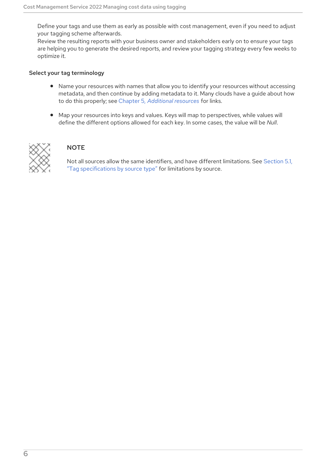Define your tags and use them as early as possible with cost management, even if you need to adjust your tagging scheme afterwards.

Review the resulting reports with your business owner and stakeholders early on to ensure your tags are helping you to generate the desired reports, and review your tagging strategy every few weeks to optimize it.

#### Select your tag terminology

- Name your resources with names that allow you to identify your resources without accessing metadata, and then continue by adding metadata to it. Many clouds have a guide about how to do this properly; see Chapter 5, *[Additional](#page-18-2) resources* for links.
- Map your resources into keys and values. Keys will map to perspectives, while values will define the different options allowed for each key. In some cases, the value will be *Null*.



#### **NOTE**

Not all sources allow the same identifiers, and have different limitations. See Section 5.1, "Tag [specifications](#page-18-1) by source type" for limitations by source.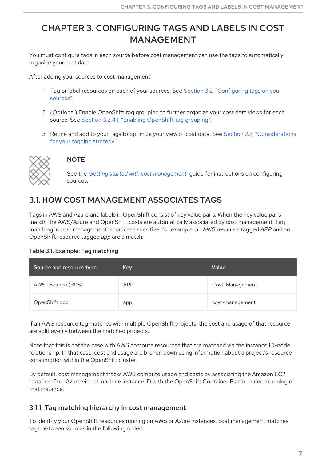# <span id="page-10-0"></span>CHAPTER 3. CONFIGURING TAGS AND LABELS IN COST MANAGEMENT

You must configure tags in each source before cost management can use the tags to automatically organize your cost data.

After adding your sources to cost management:

- 1. Tag or label resources on each of your sources. See Section 3.2, ["Configuring](#page-13-3) tags on your sources".
- 2. (Optional) Enable OpenShift tag grouping to further organize your cost data views for each source. See Section 3.2.4.1, "Enabling [OpenShift](#page-13-2) tag grouping".
- 3. Refine and add to your tags to optimize your view of cost data. See Section 2.2, ["Considerations](#page-8-0) for your tagging strategy".



#### **NOTE**

See the *Getting started with cost [management](https://access.redhat.com/documentation/en-us/cost_management_service/2022/html-single/getting_started_with_cost_management/index)* guide for instructions on configuring sources.

# <span id="page-10-1"></span>3.1. HOW COST MANAGEMENT ASSOCIATES TAGS

Tags in AWS and Azure and labels in OpenShift consist of key:value pairs. When the key:value pairs match, the AWS/Azure and OpenShift costs are automatically associated by cost management. Tag matching in cost management is not case sensitive: for example, an AWS resource tagged *APP* and an OpenShift resource tagged *app* are a match:

#### Table 3.1. Example: Tag matching

| Source and resource type | Key        | Value           |
|--------------------------|------------|-----------------|
| AWS resource (RDS)       | <b>APP</b> | Cost-Management |
| OpenShift pod            | app        | cost-management |

If an AWS resource tag matches with multiple OpenShift projects, the cost and usage of that resource are split evenly between the matched projects.

Note that this is not the case with AWS compute resources that are matched via the instance ID-node relationship. In that case, cost and usage are broken down using information about a project's resource consumption within the OpenShift cluster.

By default, cost management tracks AWS compute usage and costs by associating the Amazon EC2 instance ID or Azure virtual machine instance ID with the OpenShift Container Platform node running on that instance.

#### <span id="page-10-2"></span>3.1.1. Tag matching hierarchy in cost management

To identify your OpenShift resources running on AWS or Azure instances, cost management matches tags between sources in the following order: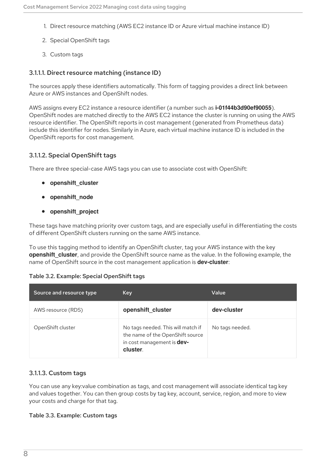- 1. Direct resource matching (AWS EC2 instance ID or Azure virtual machine instance ID)
- 2. Special OpenShift tags
- 3. Custom tags

#### <span id="page-11-0"></span>3.1.1.1. Direct resource matching (instance ID)

The sources apply these identifiers automatically. This form of tagging provides a direct link between Azure or AWS instances and OpenShift nodes.

AWS assigns every EC2 instance a resource identifier (a number such as **i-01f44b3d90ef90055**). OpenShift nodes are matched directly to the AWS EC2 instance the cluster is running on using the AWS resource identifier. The OpenShift reports in cost management (generated from Prometheus data) include this identifier for nodes. Similarly in Azure, each virtual machine instance ID is included in the OpenShift reports for cost management.

#### <span id="page-11-1"></span>3.1.1.2. Special OpenShift tags

There are three special-case AWS tags you can use to associate cost with OpenShift:

- **openshift\_cluster**
- **openshift\_node**
- **openshift\_project**

These tags have matching priority over custom tags, and are especially useful in differentiating the costs of different OpenShift clusters running on the same AWS instance.

To use this tagging method to identify an OpenShift cluster, tag your AWS instance with the key **openshift\_cluster**, and provide the OpenShift source name as the value. In the following example, the name of OpenShift source in the cost management application is **dev-cluster**:

|  |  | Table 3.2. Example: Special OpenShift tags |
|--|--|--------------------------------------------|
|--|--|--------------------------------------------|

| Source and resource type | Key                                                                                                              | Value           |
|--------------------------|------------------------------------------------------------------------------------------------------------------|-----------------|
| AWS resource (RDS)       | openshift cluster                                                                                                | dev-cluster     |
| OpenShift cluster        | No tags needed. This will match if<br>the name of the OpenShift source<br>in cost management is dev-<br>cluster. | No tags needed. |

#### <span id="page-11-2"></span>3.1.1.3. Custom tags

You can use any key:value combination as tags, and cost management will associate identical tag key and values together. You can then group costs by tag key, account, service, region, and more to view your costs and charge for that tag.

#### Table 3.3. Example: Custom tags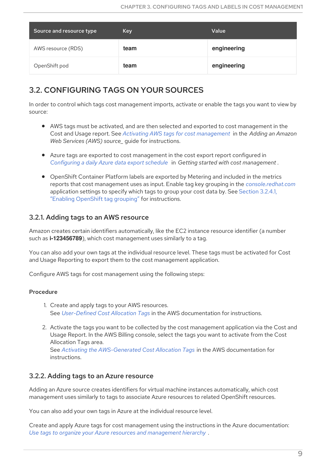| Source and resource type | Key. | Value       |
|--------------------------|------|-------------|
| AWS resource (RDS)       | team | engineering |
| OpenShift pod            | team | engineering |

## <span id="page-12-0"></span>3.2. CONFIGURING TAGS ON YOUR SOURCES

In order to control which tags cost management imports, activate or enable the tags you want to view by source:

- AWS tags must be activated, and are then selected and exported to cost management in the Cost and Usage report. See *Activating AWS tags for cost [management](https://access.redhat.com/documentation/en-us/cost_management_service/2022/html-single/adding_an_amazon_web_services_aws_source_to_cost_management/index#activating-aws-tags_adding-aws-sources)* in the *Adding an Amazon Web Services (AWS) source\_* guide for instructions.
- Azure tags are exported to cost management in the cost export report configured in *[Configuring](https://access.redhat.com/documentation/en-us/cost_management_service/2022/html-single/adding_a_microsoft_azure_source_to_cost_management/index#configuring-an-azure-daily-export-schedule_adding-an-azure-source) a daily Azure data export schedule* in *Getting started with cost management* .
- OpenShift Container Platform labels are exported by Metering and included in the metrics reports that cost management uses as input. Enable tag key grouping in the *[console.redhat.com](https://console.redhat.com)* application settings to specify which tags to group your cost data by. See Section 3.2.4.1, "Enabling OpenShift tag grouping" for [instructions.](#page-13-2)

#### <span id="page-12-1"></span>3.2.1. Adding tags to an AWS resource

Amazon creates certain identifiers automatically, like the EC2 instance resource identifier (a number such as **i-123456789**), which cost management uses similarly to a tag.

You can also add your own tags at the individual resource level. These tags must be activated for Cost and Usage Reporting to export them to the cost management application.

Configure AWS tags for cost management using the following steps:

#### Procedure

- 1. Create and apply tags to your AWS resources. See *[User-Defined](https://docs.aws.amazon.com/awsaccountbilling/latest/aboutv2/custom-tags.html) Cost Allocation Tags* in the AWS documentation for instructions.
- 2. Activate the tags you want to be collected by the cost management application via the Cost and Usage Report. In the AWS Billing console, select the tags you want to activate from the Cost Allocation Tags area.

See *Activating the [AWS-Generated](https://docs.aws.amazon.com/awsaccountbilling/latest/aboutv2/activate-built-in-tags.html) Cost Allocation Tags* in the AWS documentation for instructions.

#### <span id="page-12-2"></span>3.2.2. Adding tags to an Azure resource

Adding an Azure source creates identifiers for virtual machine instances automatically, which cost management uses similarly to tags to associate Azure resources to related OpenShift resources.

You can also add your own tags in Azure at the individual resource level.

Create and apply Azure tags for cost management using the instructions in the Azure documentation: *Use tags to organize your Azure resources and [management](https://docs.microsoft.com/en-us/azure/azure-resource-manager/management/tag-resources) hierarchy* .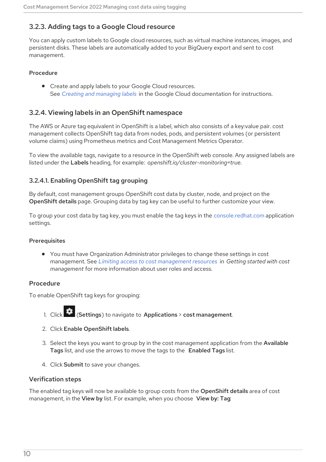#### <span id="page-13-3"></span><span id="page-13-0"></span>3.2.3. Adding tags to a Google Cloud resource

You can apply custom labels to Google cloud resources, such as virtual machine instances, images, and persistent disks. These labels are automatically added to your BigQuery export and sent to cost management.

#### Procedure

Create and apply labels to your Google Cloud resources. See *Creating and [managing](https://cloud.google.com/compute/docs/labeling-resources) labels* in the Google Cloud documentation for instructions.

#### <span id="page-13-1"></span>3.2.4. Viewing labels in an OpenShift namespace

The AWS or Azure tag equivalent in OpenShift is a label, which also consists of a key:value pair. cost management collects OpenShift tag data from nodes, pods, and persistent volumes (or persistent volume claims) using Prometheus metrics and Cost Management Metrics Operator.

To view the available tags, navigate to a resource in the OpenShift web console. Any assigned labels are listed under the Labels heading, for example: *openshift.io/cluster-monitoring=true*.

#### <span id="page-13-2"></span>3.2.4.1. Enabling OpenShift tag grouping

By default, cost management groups OpenShift cost data by cluster, node, and project on the OpenShift details page. Grouping data by tag key can be useful to further customize your view.

To group your cost data by tag key, you must enable the tag keys in the [console.redhat.com](https://console.redhat.com) application settings.

#### Prerequisites

You must have Organization Administrator privileges to change these settings in cost management. See *Limiting access to cost [management](https://access.redhat.com/documentation/en-us/cost_management_service/2022/html-single/limiting_access_to_cost_management_resources/index) resources* in *Getting started with cost management* for more information about user roles and access.

#### Procedure

To enable OpenShift tag keys for grouping:

- 1. Click (Settings) to navigate to Applications > cost management.
- 2. Click Enable OpenShift labels.
- 3. Select the keys you want to group by in the cost management application from the Available Tags list, and use the arrows to move the tags to the Enabled Tags list.
- 4. Click Submit to save your changes.

#### Verification steps

The enabled tag keys will now be available to group costs from the OpenShift details area of cost management, in the View by list. For example, when you choose View by: Tag: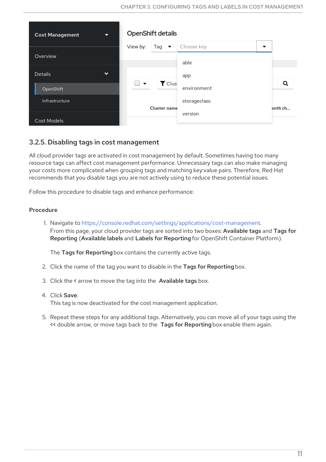| <b>Cost Management</b><br>▼ | OpenShift details<br>                                |               |              |         |
|-----------------------------|------------------------------------------------------|---------------|--------------|---------|
|                             | View by:                                             | Tag $\bullet$ | Choose key   | ▼       |
| Overview                    |                                                      |               | able         |         |
| Details<br>$\checkmark$     |                                                      |               | app          |         |
| OpenShift                   | $\overline{\phantom{0}}$<br>$\overline{\phantom{a}}$ | $T$ Clus      | environment  | Q       |
| Infrastructure              |                                                      | Cluster name  | storageclass | onth ch |
| Cost Models                 |                                                      |               | version      |         |

#### <span id="page-14-0"></span>3.2.5. Disabling tags in cost management

All cloud provider tags are activated in cost management by default. Sometimes having too many resource tags can affect cost management performance. Unnecessary tags can also make managing your costs more complicated when grouping tags and matching key:value pairs. Therefore, Red Hat recommends that you disable tags you are not actively using to reduce these potential issues.

Follow this procedure to disable tags and enhance performance:

#### Procedure

1. Navigate to [https://console.redhat.com/settings/applications/cost-management.](https://console.redhat.com/settings/applications/cost-management) From this page, your cloud provider tags are sorted into two boxes: Available tags and Tags for Reporting (Available labels and Labels for Reportingfor OpenShift Container Platform).

The Tags for Reporting box contains the currently active tags.

- 2. Click the name of the tag you want to disable in the Tags for Reporting box.
- 3. Click the < arrow to move the tag into the Available tags box.
- 4. Click Save.

This tag is now deactivated for the cost management application.

5. Repeat these steps for any additional tags. Alternatively, you can move all of your tags using the << double arrow, or move tags back to the Tags for Reportingbox enable them again.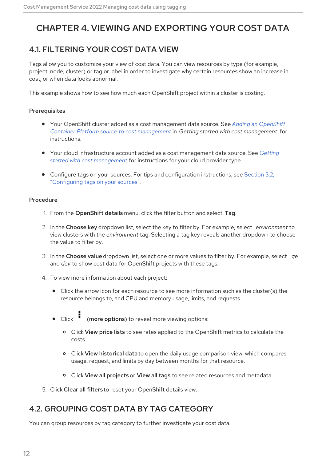# <span id="page-15-0"></span>CHAPTER 4. VIEWING AND EXPORTING YOUR COST DATA

# <span id="page-15-1"></span>4.1. FILTERING YOUR COST DATA VIEW

Tags allow you to customize your view of cost data. You can view resources by type (for example, project, node, cluster) or tag or label in order to investigate why certain resources show an increase in cost, or when data looks abnormal.

This example shows how to see how much each OpenShift project within a cluster is costing.

#### **Prerequisites**

- Your OpenShift cluster added as a cost [management](https://access.redhat.com/documentation/en-us/cost_management_service/2022/html-single/adding_an_openshift_container_platform_source_to_cost_management/index) data source. See *Adding an OpenShift Container Platform source to cost management* in *Getting started with cost management* for instructions.
- Your cloud [infrastructure](https://access.redhat.com/documentation/en-us/cost_management_service/2022/html-single/getting_started_with_cost_management/index) account added as a cost management data source. See *Getting started with cost management* for instructions for your cloud provider type.
- Configure tags on your sources. For tips and [configuration](#page-13-3) instructions, see Section 3.2, "Configuring tags on your sources".

#### Procedure

- 1. From the OpenShift details menu, click the filter button and select Tag.
- 2. In the Choose key dropdown list, select the key to filter by. For example, select *environment* to view clusters with the *environment* tag. Selecting a tag key reveals another dropdown to choose the value to filter by.
- 3. In the Choose value dropdown list, select one or more values to filter by. For example, select *qe* and *dev* to show cost data for OpenShift projects with these tags.
- 4. To view more information about each project:
	- Click the arrow icon for each resource to see more information such as the cluster(s) the resource belongs to, and CPU and memory usage, limits, and requests.
	- Click (more options) to reveal more viewing options:
		- Click View price lists to see rates applied to the OpenShift metrics to calculate the costs.
		- Click View historical datato open the daily usage comparison view, which compares usage, request, and limits by day between months for that resource.
		- Click View all projects or View all tags to see related resources and metadata.
- 5. Click Clear all filtersto reset your OpenShift details view.

### <span id="page-15-2"></span>4.2. GROUPING COST DATA BY TAG CATEGORY

You can group resources by tag category to further investigate your cost data.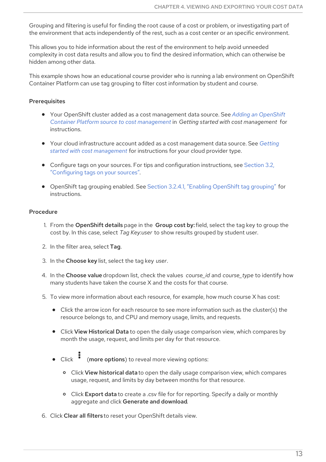Grouping and filtering is useful for finding the root cause of a cost or problem, or investigating part of the environment that acts independently of the rest, such as a cost center or an specific environment.

This allows you to hide information about the rest of the environment to help avoid unneeded complexity in cost data results and allow you to find the desired information, which can otherwise be hidden among other data.

This example shows how an educational course provider who is running a lab environment on OpenShift Container Platform can use tag grouping to filter cost information by student and course.

#### Prerequisites

- Your OpenShift cluster added as a cost [management](https://access.redhat.com/documentation/en-us/cost_management_service/2022/html-single/adding_an_openshift_container_platform_source_to_cost_management/index) data source. See *Adding an OpenShift Container Platform source to cost management* in *Getting started with cost management* for instructions.
- Your cloud [infrastructure](https://access.redhat.com/documentation/en-us/cost_management_service/2022/html-single/getting_started_with_cost_management/index) account added as a cost management data source. See *Getting started with cost management* for instructions for your cloud provider type.
- Configure tags on your sources. For tips and [configuration](#page-13-3) instructions, see Section 3.2, "Configuring tags on your sources".
- OpenShift tag grouping enabled. See Section 3.2.4.1, "Enabling [OpenShift](#page-13-2) tag grouping" for instructions.

#### Procedure

- 1. From the OpenShift details page in the Group cost by: field, select the tag key to group the cost by. In this case, select *Tag Key:user* to show results grouped by student user.
- 2. In the filter area, select Tag.
- 3. In the Choose key list, select the tag key *user*.
- 4. In the Choose value dropdown list, check the values *course\_id* and *course\_type* to identify how many students have taken the course X and the costs for that course.
- 5. To view more information about each resource, for example, how much course X has cost:
	- Click the arrow icon for each resource to see more information such as the cluster(s) the resource belongs to, and CPU and memory usage, limits, and requests.
	- Click View Historical Data to open the daily usage comparison view, which compares by month the usage, request, and limits per day for that resource.
		-
	- Click (more options) to reveal more viewing options:
		- Click View historical datato open the daily usage comparison view, which compares usage, request, and limits by day between months for that resource.
		- Click Export data to create a .csv file for for reporting. Specify a daily or monthly aggregate and click Generate and download.
- 6. Click Clear all filtersto reset your OpenShift details view.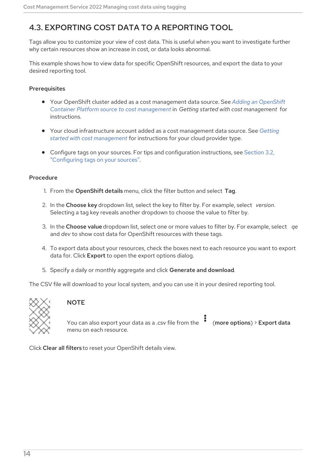# <span id="page-17-0"></span>4.3. EXPORTING COST DATA TO A REPORTING TOOL

Tags allow you to customize your view of cost data. This is useful when you want to investigate further why certain resources show an increase in cost, or data looks abnormal.

This example shows how to view data for specific OpenShift resources, and export the data to your desired reporting tool.

#### Prerequisites

- Your OpenShift cluster added as a cost [management](https://access.redhat.com/documentation/en-us/cost_management_service/2022/html-single/adding_an_openshift_container_platform_source_to_cost_management/index) data source. See *Adding an OpenShift Container Platform source to cost management* in *Getting started with cost management* for instructions.
- Your cloud [infrastructure](https://access.redhat.com/documentation/en-us/cost_management_service/2022/html-single/getting_started_with_cost_management/index) account added as a cost management data source. See *Getting started with cost management* for instructions for your cloud provider type.
- Configure tags on your sources. For tips and [configuration](#page-13-3) instructions, see Section 3.2, "Configuring tags on your sources".

#### Procedure

- 1. From the OpenShift details menu, click the filter button and select Tag.
- 2. In the Choose key dropdown list, select the key to filter by. For example, select *version*. Selecting a tag key reveals another dropdown to choose the value to filter by.
- 3. In the Choose value dropdown list, select one or more values to filter by. For example, select *qe* and *dev* to show cost data for OpenShift resources with these tags.
- 4. To export data about your resources, check the boxes next to each resource you want to export data for. Click Export to open the export options dialog.
- 5. Specify a daily or monthly aggregate and click Generate and download.

The CSV file will download to your local system, and you can use it in your desired reporting tool.



#### **NOTE**

You can also export your data as a .csv file from the (more options) > Export data menu on each resource.

Click Clear all filtersto reset your OpenShift details view.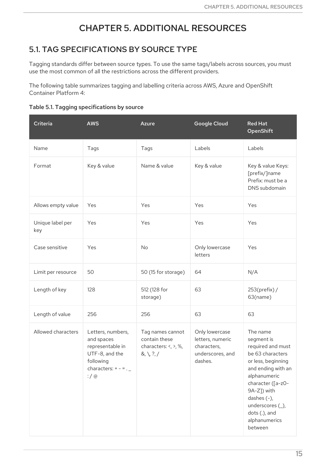# CHAPTER 5. ADDITIONAL RESOURCES

# <span id="page-18-2"></span><span id="page-18-1"></span><span id="page-18-0"></span>5.1. TAG SPECIFICATIONS BY SOURCE TYPE

Tagging standards differ between source types. To use the same tags/labels across sources, you must use the most common of all the restrictions across the different providers.

The following table summarizes tagging and labelling criteria across AWS, Azure and OpenShift Container Platform 4:

Table 5.1. Tagging specifications by source

| Criteria                | <b>AWS</b>                                                                                                                       | Azure                                                                                                   | <b>Google Cloud</b>                                                              | <b>Red Hat</b><br>OpenShift                                                                                                                                                                                                                          |
|-------------------------|----------------------------------------------------------------------------------------------------------------------------------|---------------------------------------------------------------------------------------------------------|----------------------------------------------------------------------------------|------------------------------------------------------------------------------------------------------------------------------------------------------------------------------------------------------------------------------------------------------|
| Name                    | Tags                                                                                                                             | Tags                                                                                                    | Labels                                                                           | Labels                                                                                                                                                                                                                                               |
| Format                  | Key & value                                                                                                                      | Name & value                                                                                            | Key & value                                                                      | Key & value Keys:<br>[prefix/]name<br>Prefix: must be a<br>DNS subdomain                                                                                                                                                                             |
| Allows empty value      | Yes                                                                                                                              | Yes                                                                                                     | Yes                                                                              | Yes                                                                                                                                                                                                                                                  |
| Unique label per<br>key | Yes                                                                                                                              | Yes                                                                                                     | Yes                                                                              | Yes                                                                                                                                                                                                                                                  |
| Case sensitive          | Yes                                                                                                                              | No                                                                                                      | Only lowercase<br>letters                                                        | Yes                                                                                                                                                                                                                                                  |
| Limit per resource      | 50                                                                                                                               | 50 (15 for storage)                                                                                     | 64                                                                               | N/A                                                                                                                                                                                                                                                  |
| Length of key           | 128                                                                                                                              | 512 (128 for<br>storage)                                                                                | 63                                                                               | 253(prefix)<br>63(name)                                                                                                                                                                                                                              |
| Length of value         | 256                                                                                                                              | 256                                                                                                     | 63                                                                               | 63                                                                                                                                                                                                                                                   |
| Allowed characters      | Letters, numbers,<br>and spaces<br>representable in<br>UTF-8, and the<br>following<br>characters: $+ - =$ .<br>$\frac{1}{2}$ / @ | Tag names cannot<br>contain these<br>characters: $\langle$ , $\rangle$ , $\%$ ,<br>&, $\backslash$ ?, / | Only lowercase<br>letters, numeric<br>characters,<br>underscores, and<br>dashes. | The name<br>segment is<br>required and must<br>be 63 characters<br>or less, beginning<br>and ending with an<br>alphanumeric<br>character ([a-z0-<br>9A-Z]) with<br>dashes $(-)$ ,<br>underscores $($ ),<br>dots (.), and<br>alphanumerics<br>between |